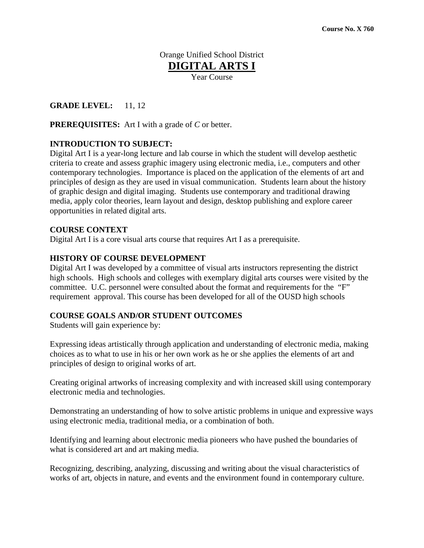# Orange Unified School District **DIGITAL ARTS I** Year Course

# **GRADE LEVEL:** 11, 12

**PREREQUISITES:** Art I with a grade of *C* or better.

# **INTRODUCTION TO SUBJECT:**

Digital Art I is a year-long lecture and lab course in which the student will develop aesthetic criteria to create and assess graphic imagery using electronic media, i.e., computers and other contemporary technologies. Importance is placed on the application of the elements of art and principles of design as they are used in visual communication. Students learn about the history of graphic design and digital imaging. Students use contemporary and traditional drawing media, apply color theories, learn layout and design, desktop publishing and explore career opportunities in related digital arts.

### **COURSE CONTEXT**

Digital Art I is a core visual arts course that requires Art I as a prerequisite.

### **HISTORY OF COURSE DEVELOPMENT**

Digital Art I was developed by a committee of visual arts instructors representing the district high schools. High schools and colleges with exemplary digital arts courses were visited by the committee. U.C. personnel were consulted about the format and requirements for the "F" requirement approval. This course has been developed for all of the OUSD high schools

### **COURSE GOALS AND/OR STUDENT OUTCOMES**

Students will gain experience by:

Expressing ideas artistically through application and understanding of electronic media, making choices as to what to use in his or her own work as he or she applies the elements of art and principles of design to original works of art.

Creating original artworks of increasing complexity and with increased skill using contemporary electronic media and technologies.

Demonstrating an understanding of how to solve artistic problems in unique and expressive ways using electronic media, traditional media, or a combination of both.

Identifying and learning about electronic media pioneers who have pushed the boundaries of what is considered art and art making media.

Recognizing, describing, analyzing, discussing and writing about the visual characteristics of works of art, objects in nature, and events and the environment found in contemporary culture.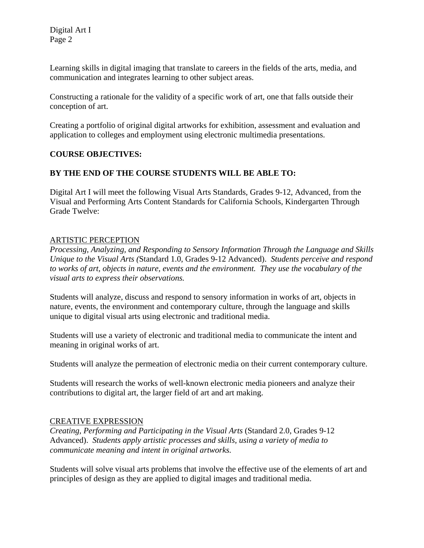Digital Art I Page 2

Learning skills in digital imaging that translate to careers in the fields of the arts, media, and communication and integrates learning to other subject areas.

Constructing a rationale for the validity of a specific work of art, one that falls outside their conception of art.

Creating a portfolio of original digital artworks for exhibition, assessment and evaluation and application to colleges and employment using electronic multimedia presentations.

# **COURSE OBJECTIVES:**

# **BY THE END OF THE COURSE STUDENTS WILL BE ABLE TO:**

Digital Art I will meet the following Visual Arts Standards, Grades 9-12, Advanced, from the Visual and Performing Arts Content Standards for California Schools, Kindergarten Through Grade Twelve:

### ARTISTIC PERCEPTION

*Processing, Analyzing, and Responding to Sensory Information Through the Language and Skills Unique to the Visual Arts (*Standard 1.0, Grades 9-12 Advanced). *Students perceive and respond to works of art, objects in nature, events and the environment. They use the vocabulary of the visual arts to express their observations.* 

Students will analyze, discuss and respond to sensory information in works of art, objects in nature, events, the environment and contemporary culture, through the language and skills unique to digital visual arts using electronic and traditional media.

Students will use a variety of electronic and traditional media to communicate the intent and meaning in original works of art.

Students will analyze the permeation of electronic media on their current contemporary culture.

Students will research the works of well-known electronic media pioneers and analyze their contributions to digital art, the larger field of art and art making.

### CREATIVE EXPRESSION

*Creating, Performing and Participating in the Visual Arts* (Standard 2.0, Grades 9-12 Advanced). *Students apply artistic processes and skills, using a variety of media to communicate meaning and intent in original artworks.* 

Students will solve visual arts problems that involve the effective use of the elements of art and principles of design as they are applied to digital images and traditional media.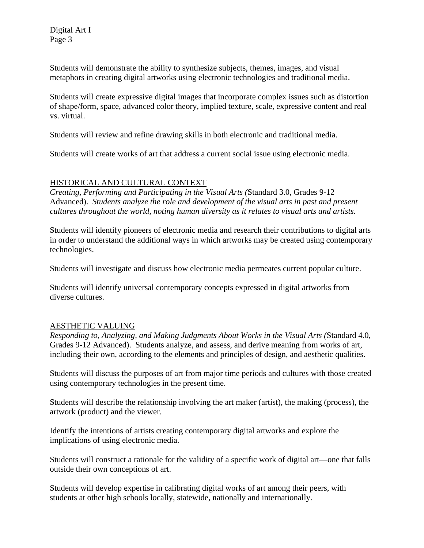Students will demonstrate the ability to synthesize subjects, themes, images, and visual metaphors in creating digital artworks using electronic technologies and traditional media.

Students will create expressive digital images that incorporate complex issues such as distortion of shape/form, space, advanced color theory, implied texture, scale, expressive content and real vs. virtual.

Students will review and refine drawing skills in both electronic and traditional media.

Students will create works of art that address a current social issue using electronic media.

# HISTORICAL AND CULTURAL CONTEXT

*Creating, Performing and Participating in the Visual Arts (*Standard 3.0, Grades 9-12 Advanced). *Students analyze the role and development of the visual arts in past and present cultures throughout the world, noting human diversity as it relates to visual arts and artists.* 

Students will identify pioneers of electronic media and research their contributions to digital arts in order to understand the additional ways in which artworks may be created using contemporary technologies.

Students will investigate and discuss how electronic media permeates current popular culture.

Students will identify universal contemporary concepts expressed in digital artworks from diverse cultures.

# AESTHETIC VALUING

*Responding to, Analyzing, and Making Judgments About Works in the Visual Arts (*Standard 4.0, Grades 9-12 Advanced). Students analyze, and assess, and derive meaning from works of art, including their own, according to the elements and principles of design, and aesthetic qualities.

Students will discuss the purposes of art from major time periods and cultures with those created using contemporary technologies in the present time.

Students will describe the relationship involving the art maker (artist), the making (process), the artwork (product) and the viewer.

Identify the intentions of artists creating contemporary digital artworks and explore the implications of using electronic media.

Students will construct a rationale for the validity of a specific work of digital art—one that falls outside their own conceptions of art.

Students will develop expertise in calibrating digital works of art among their peers, with students at other high schools locally, statewide, nationally and internationally.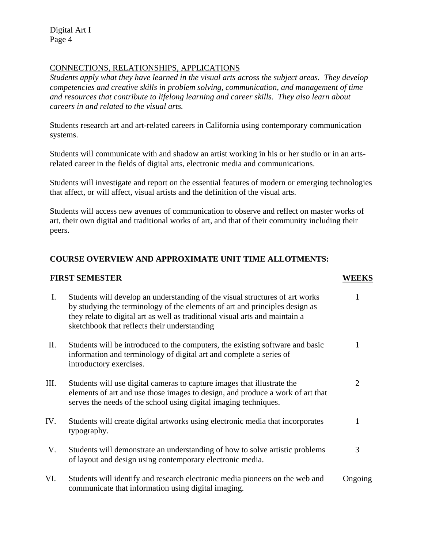Digital Art I Page 4

# CONNECTIONS, RELATIONSHIPS, APPLICATIONS

*Students apply what they have learned in the visual arts across the subject areas. They develop competencies and creative skills in problem solving, communication, and management of time and resources that contribute to lifelong learning and career skills. They also learn about careers in and related to the visual arts.* 

Students research art and art-related careers in California using contemporary communication systems.

Students will communicate with and shadow an artist working in his or her studio or in an artsrelated career in the fields of digital arts, electronic media and communications.

Students will investigate and report on the essential features of modern or emerging technologies that affect, or will affect, visual artists and the definition of the visual arts.

Students will access new avenues of communication to observe and reflect on master works of art, their own digital and traditional works of art, and that of their community including their peers.

# **COURSE OVERVIEW AND APPROXIMATE UNIT TIME ALLOTMENTS:**

#### **FIRST SEMESTER WEEKS**

| Ι.  | Students will develop an understanding of the visual structures of art works<br>by studying the terminology of the elements of art and principles design as<br>they relate to digital art as well as traditional visual arts and maintain a<br>sketchbook that reflects their understanding |         |
|-----|---------------------------------------------------------------------------------------------------------------------------------------------------------------------------------------------------------------------------------------------------------------------------------------------|---------|
| П.  | Students will be introduced to the computers, the existing software and basic<br>information and terminology of digital art and complete a series of<br>introductory exercises.                                                                                                             |         |
| Ш.  | Students will use digital cameras to capture images that illustrate the<br>elements of art and use those images to design, and produce a work of art that<br>serves the needs of the school using digital imaging techniques.                                                               | 2       |
| IV. | Students will create digital artworks using electronic media that incorporates<br>typography.                                                                                                                                                                                               |         |
| V.  | Students will demonstrate an understanding of how to solve artistic problems<br>of layout and design using contemporary electronic media.                                                                                                                                                   | 3       |
| VI. | Students will identify and research electronic media pioneers on the web and<br>communicate that information using digital imaging.                                                                                                                                                         | Ongoing |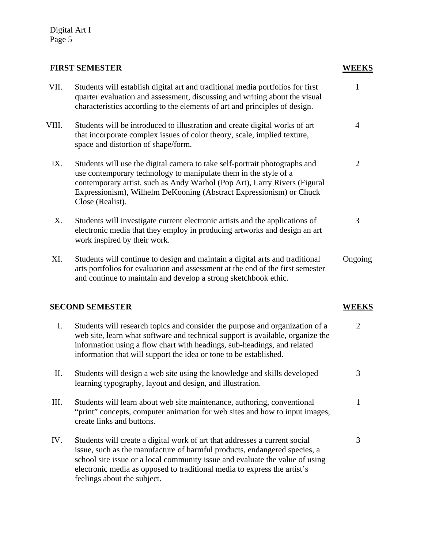# **FIRST SEMESTER WEEKS**

| VII.  | Students will establish digital art and traditional media portfolios for first<br>quarter evaluation and assessment, discussing and writing about the visual<br>characteristics according to the elements of art and principles of design.                                                                             | 1              |
|-------|------------------------------------------------------------------------------------------------------------------------------------------------------------------------------------------------------------------------------------------------------------------------------------------------------------------------|----------------|
| VIII. | Students will be introduced to illustration and create digital works of art<br>that incorporate complex issues of color theory, scale, implied texture,<br>space and distortion of shape/form.                                                                                                                         | 4              |
| IX.   | Students will use the digital camera to take self-portrait photographs and<br>use contemporary technology to manipulate them in the style of a<br>contemporary artist, such as Andy Warhol (Pop Art), Larry Rivers (Figural<br>Expressionism), Wilhelm DeKooning (Abstract Expressionism) or Chuck<br>Close (Realist). | $\overline{2}$ |
| X.    | Students will investigate current electronic artists and the applications of<br>electronic media that they employ in producing artworks and design an art<br>work inspired by their work.                                                                                                                              | 3              |
| XI.   | Students will continue to design and maintain a digital arts and traditional<br>arts portfolios for evaluation and assessment at the end of the first semester<br>and continue to maintain and develop a strong sketchbook ethic.                                                                                      | Ongoing        |
|       | <b>SECOND SEMESTER</b>                                                                                                                                                                                                                                                                                                 | <b>WEEKS</b>   |
| I.    | Students will research topics and consider the purpose and organization of a<br>web site, learn what software and technical support is available, organize the<br>information using a flow chart with headings, sub-headings, and related<br>information that will support the idea or tone to be established.         | $\overline{2}$ |
| Π.    | Students will design a web site using the knowledge and skills developed<br>learning typography, layout and design, and illustration.                                                                                                                                                                                  | 3              |
| III.  | Students will learn about web site maintenance, authoring, conventional<br>"print" concepts, computer animation for web sites and how to input images,<br>create links and buttons.                                                                                                                                    | 1              |
| IV.   | Students will create a digital work of art that addresses a current social<br>issue, such as the manufacture of harmful products, endangered species, a<br>school site issue or a local community issue and evaluate the value of using                                                                                | 3              |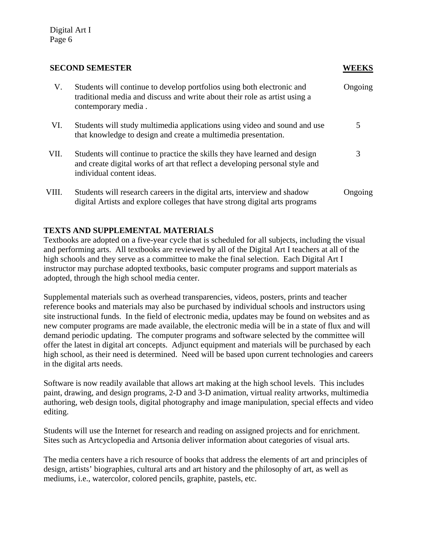#### **SECOND SEMESTER WEEKS**

| V.    | Students will continue to develop portfolios using both electronic and<br>traditional media and discuss and write about their role as artist using a<br>contemporary media.             | Ongoing |
|-------|-----------------------------------------------------------------------------------------------------------------------------------------------------------------------------------------|---------|
| VI.   | Students will study multimedia applications using video and sound and use<br>that knowledge to design and create a multimedia presentation.                                             | 5       |
| VII.  | Students will continue to practice the skills they have learned and design<br>and create digital works of art that reflect a developing personal style and<br>individual content ideas. | 3       |
| VIII. | Students will research careers in the digital arts, interview and shadow<br>digital Artists and explore colleges that have strong digital arts programs                                 | Ongoing |

# **TEXTS AND SUPPLEMENTAL MATERIALS**

Textbooks are adopted on a five-year cycle that is scheduled for all subjects, including the visual and performing arts. All textbooks are reviewed by all of the Digital Art I teachers at all of the high schools and they serve as a committee to make the final selection. Each Digital Art I instructor may purchase adopted textbooks, basic computer programs and support materials as adopted, through the high school media center.

Supplemental materials such as overhead transparencies, videos, posters, prints and teacher reference books and materials may also be purchased by individual schools and instructors using site instructional funds. In the field of electronic media, updates may be found on websites and as new computer programs are made available, the electronic media will be in a state of flux and will demand periodic updating. The computer programs and software selected by the committee will offer the latest in digital art concepts. Adjunct equipment and materials will be purchased by each high school, as their need is determined. Need will be based upon current technologies and careers in the digital arts needs.

Software is now readily available that allows art making at the high school levels. This includes paint, drawing, and design programs, 2-D and 3-D animation, virtual reality artworks, multimedia authoring, web design tools, digital photography and image manipulation, special effects and video editing.

Students will use the Internet for research and reading on assigned projects and for enrichment. Sites such as Artcyclopedia and Artsonia deliver information about categories of visual arts.

The media centers have a rich resource of books that address the elements of art and principles of design, artists' biographies, cultural arts and art history and the philosophy of art, as well as mediums, i.e., watercolor, colored pencils, graphite, pastels, etc.